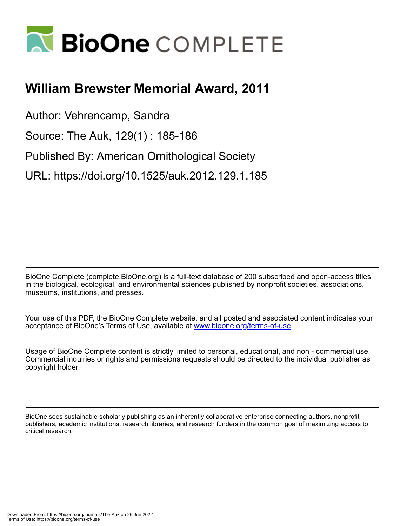

## **William Brewster Memorial Award, 2011**

Author: Vehrencamp, Sandra

Source: The Auk, 129(1) : 185-186

Published By: American Ornithological Society

URL: https://doi.org/10.1525/auk.2012.129.1.185

BioOne Complete (complete.BioOne.org) is a full-text database of 200 subscribed and open-access titles in the biological, ecological, and environmental sciences published by nonprofit societies, associations, museums, institutions, and presses.

Your use of this PDF, the BioOne Complete website, and all posted and associated content indicates your acceptance of BioOne's Terms of Use, available at www.bioone.org/terms-of-use.

Usage of BioOne Complete content is strictly limited to personal, educational, and non - commercial use. Commercial inquiries or rights and permissions requests should be directed to the individual publisher as copyright holder.

BioOne sees sustainable scholarly publishing as an inherently collaborative enterprise connecting authors, nonprofit publishers, academic institutions, research libraries, and research funders in the common goal of maximizing access to critical research.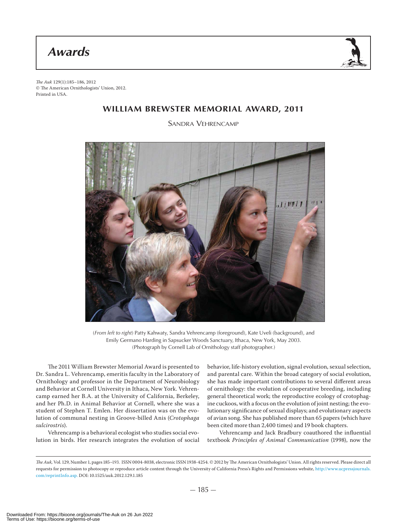*Awards*



The Auk 129(1):185–186, 2012 © The American Ornithologists' Union, 2012. Printed in USA.

## **WILLIAM BREWSTER MEMORIAL AWARD, 2011**

SANDRA VEHRENCAMP



(*From left to right*) Patty Kahwaty, Sandra Vehrencamp (foreground), Kate Uveli (background), and Emily Germano Harding in Sapsucker Woods Sanctuary, Ithaca, New York, May 2003. (Photograph by Cornell Lab of Ornithology staff photographer.)

The 2011 William Brewster Memorial Award is presented to Dr. Sandra L. Vehrencamp, emeritis faculty in the Laboratory of Ornithology and professor in the Department of Neurobiology and Behavior at Cornell University in Ithaca, New York. Vehrencamp earned her B.A. at the University of California, Berkeley, and her Ph.D. in Animal Behavior at Cornell, where she was a student of Stephen T. Emlen. Her dissertation was on the evolution of communal nesting in Groove-billed Anis (Crotophaga sulcirostris).

Vehrencamp is a behavioral ecologist who studies social evolution in birds. Her research integrates the evolution of social behavior, life-history evolution, signal evolution, sexual selection, and parental care. Within the broad category of social evolution, she has made important contributions to several different areas of ornithology: the evolution of cooperative breeding, including general theoretical work; the reproductive ecology of crotophagine cuckoos, with a focus on the evolution of joint nesting; the evolutionary significance of sexual displays; and evolutionary aspects of avian song. She has published more than 65 papers (which have been cited more than 2,400 times) and 19 book chapters.

Vehrencamp and Jack Bradbury coauthored the influential textbook Principles of Animal Communication (1998), now the

The Auk, Vol. 129, Number 1, pages 185-193. ISSN 0004-8038, electronic ISSN 1938-4254. © 2012 by The American Ornithologists' Union. All rights reserved. Please direct all requests for permission to photocopy or reproduce article content through the University of California Press's Rights and Permissions website, http://www.ucpressjournals. com/reprintInfo.asp. DOI: 10.1525/auk.2012.129.1.185